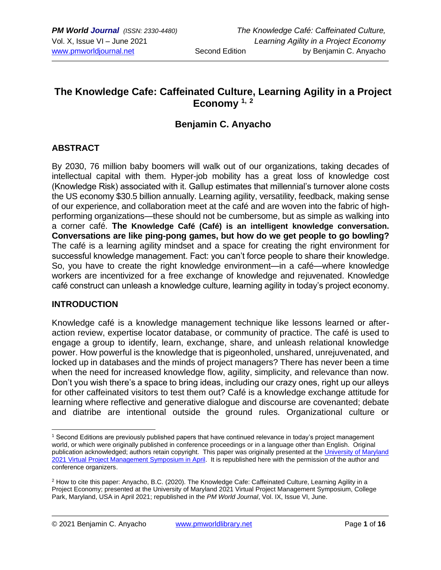## **The Knowledge Cafe: Caffeinated Culture, Learning Agility in a Project Economy 1, <sup>2</sup>**

## **Benjamin C. Anyacho**

### **ABSTRACT**

By 2030, 76 million baby boomers will walk out of our organizations, taking decades of intellectual capital with them. Hyper-job mobility has a great loss of knowledge cost (Knowledge Risk) associated with it. Gallup estimates that millennial's turnover alone costs the US economy \$30.5 billion annually. Learning agility, versatility, feedback, making sense of our experience, and collaboration meet at the café and are woven into the fabric of highperforming organizations—these should not be cumbersome, but as simple as walking into a corner café. **The Knowledge Café (Café) is an intelligent knowledge conversation. Conversations are like ping-pong games, but how do we get people to go bowling?**  The café is a learning agility mindset and a space for creating the right environment for successful knowledge management. Fact: you can't force people to share their knowledge. So, you have to create the right knowledge environment—in a café—where knowledge workers are incentivized for a free exchange of knowledge and rejuvenated. Knowledge café construct can unleash a knowledge culture, learning agility in today's project economy.

#### **INTRODUCTION**

Knowledge café is a knowledge management technique like lessons learned or afteraction review, expertise locator database, or community of practice. The café is used to engage a group to identify, learn, exchange, share, and unleash relational knowledge power. How powerful is the knowledge that is pigeonholed, unshared, unrejuvenated, and locked up in databases and the minds of project managers? There has never been a time when the need for increased knowledge flow, agility, simplicity, and relevance than now. Don't you wish there's a space to bring ideas, including our crazy ones, right up our alleys for other caffeinated visitors to test them out? Café is a knowledge exchange attitude for learning where reflective and generative dialogue and discourse are covenanted; debate and diatribe are intentional outside the ground rules. Organizational culture or

<sup>1</sup> Second Editions are previously published papers that have continued relevance in today's project management world, or which were originally published in conference proceedings or in a language other than English. Original publication acknowledged; authors retain copyright. This paper was originally presented at th[e University of Maryland](https://pmsymposium.umd.edu/pm2021/)  [2021 Virtual Project Management](https://pmsymposium.umd.edu/pm2021/) Symposium in April. It is republished here with the permission of the author and conference organizers.

<sup>2</sup> How to cite this paper: Anyacho, B.C. (2020). The Knowledge Cafe: Caffeinated Culture, Learning Agility in a Project Economy; presented at the University of Maryland 2021 Virtual Project Management Symposium, College Park, Maryland, USA in April 2021; republished in the *PM World Journal*, Vol. IX, Issue VI, June.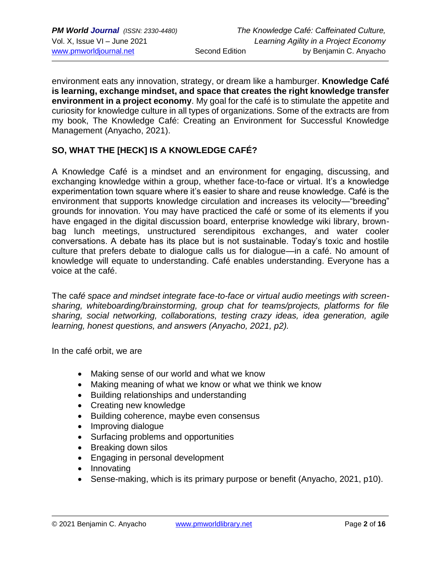environment eats any innovation, strategy, or dream like a hamburger. **Knowledge Café is learning, exchange mindset, and space that creates the right knowledge transfer environment in a project economy**. My goal for the café is to stimulate the appetite and curiosity for knowledge culture in all types of organizations. Some of the extracts are from my book, The Knowledge Café: Creating an Environment for Successful Knowledge Management (Anyacho, 2021).

## **SO, WHAT THE [HECK] IS A KNOWLEDGE CAFÉ?**

A Knowledge Café is a mindset and an environment for engaging, discussing, and exchanging knowledge within a group, whether face-to-face or virtual. It's a knowledge experimentation town square where it's easier to share and reuse knowledge. Café is the environment that supports knowledge circulation and increases its velocity—"breeding" grounds for innovation. You may have practiced the café or some of its elements if you have engaged in the digital discussion board, enterprise knowledge wiki library, brownbag lunch meetings, unstructured serendipitous exchanges, and water cooler conversations. A debate has its place but is not sustainable. Today's toxic and hostile culture that prefers debate to dialogue calls us for dialogue—in a café. No amount of knowledge will equate to understanding. Café enables understanding. Everyone has a voice at the café.

The ca*fé space and mindset integrate face-to-face or virtual audio meetings with screensharing, whiteboarding/brainstorming, group chat for teams/projects, platforms for file sharing, social networking, collaborations, testing crazy ideas, idea generation, agile learning, honest questions, and answers (Anyacho, 2021, p2).*

In the café orbit, we are

- Making sense of our world and what we know
- Making meaning of what we know or what we think we know
- Building relationships and understanding
- Creating new knowledge
- Building coherence, maybe even consensus
- Improving dialogue
- Surfacing problems and opportunities
- Breaking down silos
- Engaging in personal development
- Innovating
- Sense-making, which is its primary purpose or benefit (Anyacho, 2021, p10).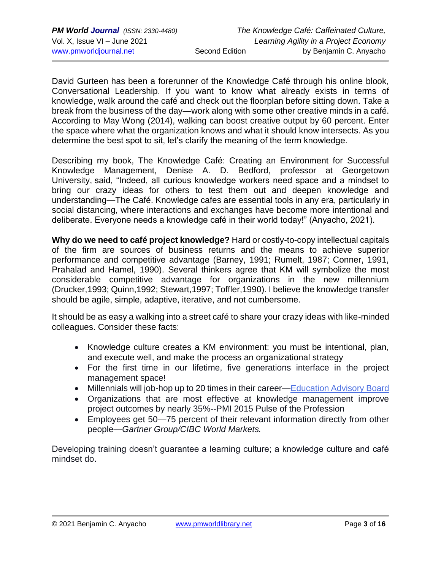David Gurteen has been a forerunner of the Knowledge Café through his online blook, Conversational Leadership. If you want to know what already exists in terms of knowledge, walk around the café and check out the floorplan before sitting down. Take a break from the business of the day—work along with some other creative minds in a café. According to May Wong (2014), walking can boost creative output by 60 percent. Enter the space where what the organization knows and what it should know intersects. As you determine the best spot to sit, let's clarify the meaning of the term knowledge.

Describing my book, The Knowledge Café: Creating an Environment for Successful Knowledge Management, Denise A. D. Bedford, professor at Georgetown University, said, "Indeed, all curious knowledge workers need space and a mindset to bring our crazy ideas for others to test them out and deepen knowledge and understanding—The Café. Knowledge cafes are essential tools in any era, particularly in social distancing, where interactions and exchanges have become more intentional and deliberate. Everyone needs a knowledge café in their world today!" (Anyacho, 2021).

**Why do we need to café project knowledge?** Hard or costly-to-copy intellectual capitals of the firm are sources of business returns and the means to achieve superior performance and competitive advantage (Barney, 1991; Rumelt, 1987; Conner, 1991, Prahalad and Hamel, 1990). Several thinkers agree that KM will symbolize the most considerable competitive advantage for organizations in the new millennium (Drucker,1993; Quinn,1992; Stewart,1997; Toffler,1990). I believe the knowledge transfer should be agile, simple, adaptive, iterative, and not cumbersome.

It should be as easy a walking into a street café to share your crazy ideas with like-minded colleagues. Consider these facts:

- Knowledge culture creates a KM environment: you must be intentional, plan, and execute well, and make the process an organizational strategy
- For the first time in our lifetime, five generations interface in the project management space!
- Millennials will job-hop up to 20 times in their career[—Education Advisory Board](https://www.eab.com/research-and-insights/continuing-and-online-education-forum/studies/2015/designing-programs-for-the-millennial-workforce)
- Organizations that are most effective at knowledge management improve project outcomes by nearly 35%--PMI 2015 Pulse of the Profession
- Employees get 50—75 percent of their relevant information directly from other people—*Gartner Group/CIBC World Markets.*

Developing training doesn't guarantee a learning culture; a knowledge culture and café mindset do.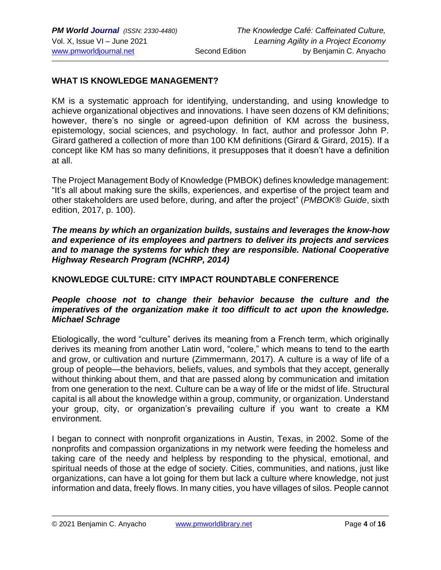#### **WHAT IS KNOWLEDGE MANAGEMENT?**

KM is a systematic approach for identifying, understanding, and using knowledge to achieve organizational objectives and innovations. I have seen dozens of KM definitions; however, there's no single or agreed-upon definition of KM across the business, epistemology, social sciences, and psychology. In fact, author and professor John P. Girard gathered a collection of more than 100 KM definitions (Girard & Girard, 2015). If a concept like KM has so many definitions, it presupposes that it doesn't have a definition at all.

The Project Management Body of Knowledge (PMBOK) defines knowledge management: "It's all about making sure the skills, experiences, and expertise of the project team and other stakeholders are used before, during, and after the project" (*PMBOK® Guide*, sixth edition, 2017, p. 100).

*The means by which an organization builds, sustains and leverages the know-how and experience of its employees and partners to deliver its projects and services and to manage the systems for which they are responsible. National Cooperative Highway Research Program (NCHRP, 2014)*

#### **KNOWLEDGE CULTURE: CITY IMPACT ROUNDTABLE CONFERENCE**

#### *People choose not to change their behavior because the culture and the imperatives of the organization make it too difficult to act upon the knowledge. [Michael Schrage](http://executive.mit.edu/faculty/profile/77-michael-schrage)*

Etiologically, the word "culture" derives its meaning from a French term, which originally derives its meaning from another Latin word, "colere," which means to tend to the earth and grow, or cultivation and nurture (Zimmermann, 2017). A culture is a way of life of a group of people—the behaviors, beliefs, values, and symbols that they accept, generally without thinking about them, and that are passed along by communication and imitation from one generation to the next. Culture can be a way of life or the midst of life. Structural capital is all about the knowledge within a group, community, or organization. Understand your group, city, or organization's prevailing culture if you want to create a KM environment.

I began to connect with nonprofit organizations in Austin, Texas, in 2002. Some of the nonprofits and compassion organizations in my network were feeding the homeless and taking care of the needy and helpless by responding to the physical, emotional, and spiritual needs of those at the edge of society. Cities, communities, and nations, just like organizations, can have a lot going for them but lack a culture where knowledge, not just information and data, freely flows. In many cities, you have villages of silos. People cannot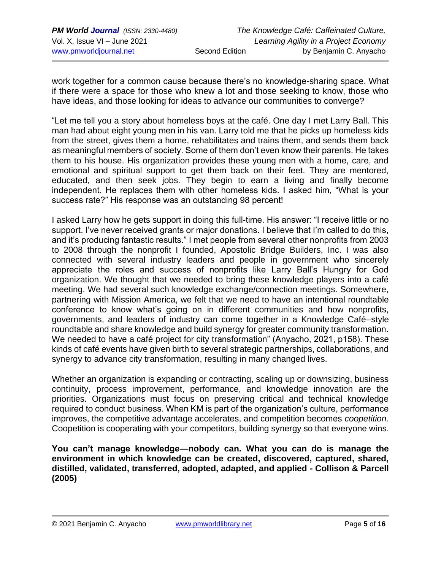work together for a common cause because there's no knowledge-sharing space. What if there were a space for those who knew a lot and those seeking to know, those who have ideas, and those looking for ideas to advance our communities to converge?

"Let me tell you a story about homeless boys at the café. One day I met Larry Ball. This man had about eight young men in his van. Larry told me that he picks up homeless kids from the street, gives them a home, rehabilitates and trains them, and sends them back as meaningful members of society. Some of them don't even know their parents. He takes them to his house. His organization provides these young men with a home, care, and emotional and spiritual support to get them back on their feet. They are mentored, educated, and then seek jobs. They begin to earn a living and finally become independent. He replaces them with other homeless kids. I asked him, "What is your success rate?" His response was an outstanding 98 percent!

I asked Larry how he gets support in doing this full-time. His answer: "I receive little or no support. I've never received grants or major donations. I believe that I'm called to do this, and it's producing fantastic results." I met people from several other nonprofits from 2003 to 2008 through the nonprofit I founded, Apostolic Bridge Builders, Inc. I was also connected with several industry leaders and people in government who sincerely appreciate the roles and success of nonprofits like Larry Ball's Hungry for God organization. We thought that we needed to bring these knowledge players into a café meeting. We had several such knowledge exchange/connection meetings. Somewhere, partnering with Mission America, we felt that we need to have an intentional roundtable conference to know what's going on in different communities and how nonprofits, governments, and leaders of industry can come together in a Knowledge Café–style roundtable and share knowledge and build synergy for greater community transformation. We needed to have a café project for city transformation" (Anyacho, 2021, p158). These kinds of café events have given birth to several strategic partnerships, collaborations, and synergy to advance city transformation, resulting in many changed lives.

Whether an organization is expanding or contracting, scaling up or downsizing, business continuity, process improvement, performance, and knowledge innovation are the priorities. Organizations must focus on preserving critical and technical knowledge required to conduct business. When KM is part of the organization's culture, performance improves, the competitive advantage accelerates, and competition becomes *coopetition*. Coopetition is cooperating with your competitors, building synergy so that everyone wins.

**You can't manage knowledge—nobody can. What you can do is manage the environment in which knowledge can be created, discovered, captured, shared, distilled, validated, transferred, adopted, adapted, and applied - Collison & Parcell (2005)**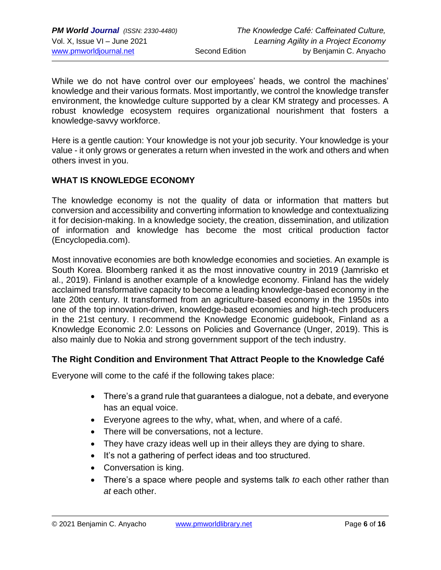While we do not have control over our employees' heads, we control the machines' knowledge and their various formats. Most importantly, we control the knowledge transfer environment, the knowledge culture supported by a clear KM strategy and processes. A robust knowledge ecosystem requires organizational nourishment that fosters a knowledge-savvy workforce.

Here is a gentle caution: Your knowledge is not your job security. Your knowledge is your value - it only grows or generates a return when invested in the work and others and when others invest in you.

### **WHAT IS KNOWLEDGE ECONOMY**

The knowledge economy is not the quality of data or information that matters but conversion and accessibility and converting information to knowledge and contextualizing it for decision-making. In a knowledge society, the creation, dissemination, and utilization of information and knowledge has become the most critical production factor (Encyclopedia.com).

Most innovative economies are both knowledge economies and societies. An example is South Korea. Bloomberg ranked it as the most innovative country in 2019 (Jamrisko et al., 2019). Finland is another example of a knowledge economy. Finland has the widely acclaimed transformative capacity to become a leading knowledge-based economy in the late 20th century. It transformed from an agriculture-based economy in the 1950s into one of the top innovation-driven, knowledge-based economies and high-tech producers in the 21st century. I recommend the Knowledge Economic guidebook, Finland as a Knowledge Economic 2.0: Lessons on Policies and Governance (Unger, 2019). This is also mainly due to Nokia and strong government support of the tech industry.

#### **The Right Condition and Environment That Attract People to the Knowledge Café**

Everyone will come to the café if the following takes place:

- There's a grand rule that guarantees a dialogue, not a debate, and everyone has an equal voice.
- Everyone agrees to the why, what, when, and where of a café.
- There will be conversations, not a lecture.
- They have crazy ideas well up in their alleys they are dying to share.
- It's not a gathering of perfect ideas and too structured.
- Conversation is king.
- There's a space where people and systems talk *to* each other rather than *at* each other.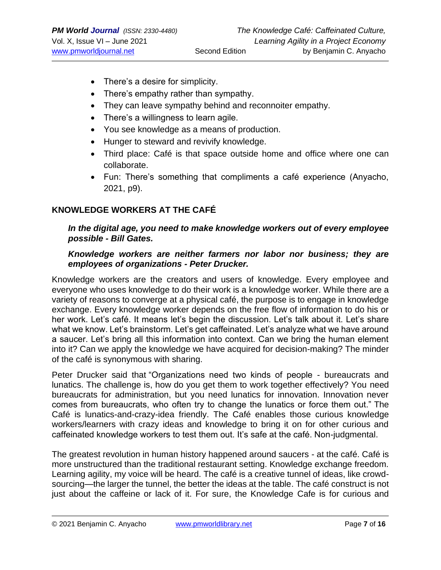- There's a desire for simplicity.
- There's empathy rather than sympathy.
- They can leave sympathy behind and reconnoiter empathy.
- There's a willingness to learn agile.
- You see knowledge as a means of production.
- Hunger to steward and revivify knowledge.
- Third place: Café is that space outside home and office where one can collaborate.
- Fun: There's something that compliments a café experience (Anyacho, 2021, p9).

#### **KNOWLEDGE WORKERS AT THE CAFÉ**

#### *In the digital age, you need to make knowledge workers out of every employee possible - Bill Gates.*

#### *Knowledge workers are neither farmers nor labor nor business; they are employees of organizations - Peter Drucker.*

Knowledge workers are the creators and users of knowledge. Every employee and everyone who uses knowledge to do their work is a knowledge worker. While there are a variety of reasons to converge at a physical café, the purpose is to engage in knowledge exchange. Every knowledge worker depends on the free flow of information to do his or her work. Let's café. It means let's begin the discussion. Let's talk about it. Let's share what we know. Let's brainstorm. Let's get caffeinated. Let's analyze what we have around a saucer. Let's bring all this information into context. Can we bring the human element into it? Can we apply the knowledge we have acquired for decision-making? The minder of the café is synonymous with sharing.

Peter Drucker said that "Organizations need two kinds of people - bureaucrats and lunatics. The challenge is, how do you get them to work together effectively? You need bureaucrats for administration, but you need lunatics for innovation. Innovation never comes from bureaucrats, who often try to change the lunatics or force them out." The Café is lunatics-and-crazy-idea friendly. The Café enables those curious knowledge workers/learners with crazy ideas and knowledge to bring it on for other curious and caffeinated knowledge workers to test them out. It's safe at the café. Non-judgmental.

The greatest revolution in human history happened around saucers - at the café. Café is more unstructured than the traditional restaurant setting. Knowledge exchange freedom. Learning agility, my voice will be heard. The café is a creative tunnel of ideas, like crowdsourcing—the larger the tunnel, the better the ideas at the table. The café construct is not just about the caffeine or lack of it. For sure, the Knowledge Cafe is for curious and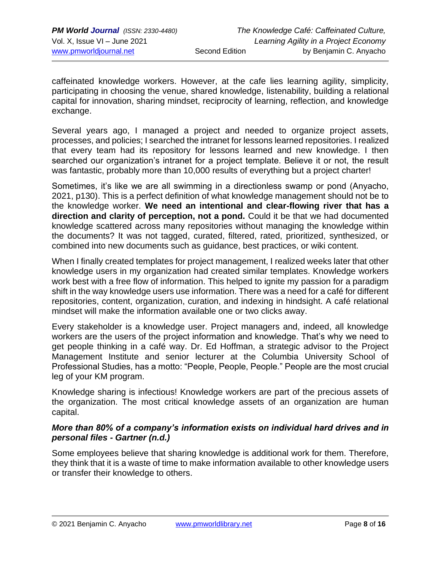caffeinated knowledge workers. However, at the cafe lies learning agility, simplicity, participating in choosing the venue, shared knowledge, listenability, building a relational capital for innovation, sharing mindset, reciprocity of learning, reflection, and knowledge exchange.

Several years ago, I managed a project and needed to organize project assets, processes, and policies; I searched the intranet for lessons learned repositories. I realized that every team had its repository for lessons learned and new knowledge. I then searched our organization's intranet for a project template. Believe it or not, the result was fantastic, probably more than 10,000 results of everything but a project charter!

Sometimes, it's like we are all swimming in a directionless swamp or pond (Anyacho, 2021, p130). This is a perfect definition of what knowledge management should not be to the knowledge worker. **We need an intentional and clear-flowing river that has a direction and clarity of perception, not a pond.** Could it be that we had documented knowledge scattered across many repositories without managing the knowledge within the documents? It was not tagged, curated, filtered, rated, prioritized, synthesized, or combined into new documents such as guidance, best practices, or wiki content.

When I finally created templates for project management, I realized weeks later that other knowledge users in my organization had created similar templates. Knowledge workers work best with a free flow of information. This helped to ignite my passion for a paradigm shift in the way knowledge users use information. There was a need for a café for different repositories, content, organization, curation, and indexing in hindsight. A café relational mindset will make the information available one or two clicks away.

Every stakeholder is a knowledge user. Project managers and, indeed, all knowledge workers are the users of the project information and knowledge. That's why we need to get people thinking in a café way. Dr. Ed Hoffman, a strategic advisor to the Project Management Institute and senior lecturer at the Columbia University School of Professional Studies, has a motto: "People, People, People." People are the most crucial leg of your KM program.

Knowledge sharing is infectious! Knowledge workers are part of the precious assets of the organization. The most critical knowledge assets of an organization are human capital.

#### *More than 80% of a company's information exists on individual hard drives and in personal files - Gartner (n.d.)*

Some employees believe that sharing knowledge is additional work for them. Therefore, they think that it is a waste of time to make information available to other knowledge users or transfer their knowledge to others.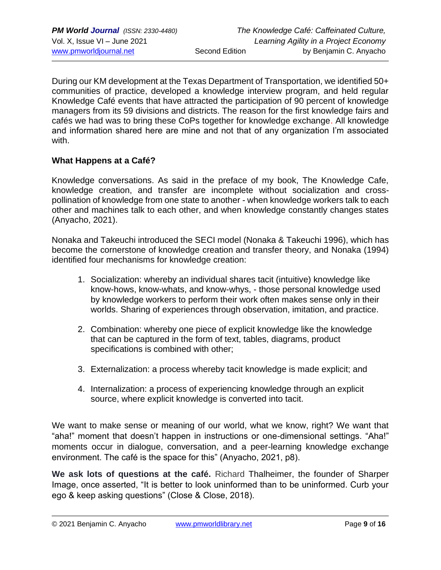During our KM development at the Texas Department of Transportation, we identified 50+ communities of practice, developed a knowledge interview program, and held regular Knowledge Café events that have attracted the participation of 90 percent of knowledge managers from its 59 divisions and districts. The reason for the first knowledge fairs and cafés we had was to bring these CoPs together for knowledge exchange. All knowledge and information shared here are mine and not that of any organization I'm associated with.

#### **What Happens at a Café?**

Knowledge conversations. As said in the preface of my book, The Knowledge Cafe, knowledge creation, and transfer are incomplete without socialization and crosspollination of knowledge from one state to another - when knowledge workers talk to each other and machines talk to each other, and when knowledge constantly changes states (Anyacho, 2021).

Nonaka and Takeuchi introduced the SECI model (Nonaka & Takeuchi 1996), which has become the cornerstone of [knowledge creation](http://www.knowledge-management-tools.net/knowledge-creation.php) and transfer theory, and Nonaka (1994) identified four mechanisms for knowledge creation:

- 1. Socialization: whereby an individual shares tacit (intuitive) knowledge like know-hows, know-whats, and know-whys, - those personal knowledge used by knowledge workers to perform their work often makes sense only in their worlds. Sharing of experiences through observation, imitation, and practice.
- 2. Combination: whereby one piece of explicit knowledge like the knowledge that can be captured in the form of text, tables, diagrams, product specifications is combined with other;
- 3. Externalization: a process whereby tacit knowledge is made explicit; and
- 4. Internalization: a process of experiencing knowledge through an explicit source, where explicit knowledge is converted into tacit.

We want to make sense or meaning of our world, what we know, right? We want that "aha!" moment that doesn't happen in instructions or one-dimensional settings. "Aha!" moments occur in dialogue, conversation, and a peer-learning knowledge exchange environment. The café is the space for this" (Anyacho, 2021, p8).

**We ask lots of questions at the café.** Richard Thalheimer, the founder of Sharper Image, once asserted, "It is better to look uninformed than to be uninformed. Curb your ego & keep asking questions" (Close & Close, 2018).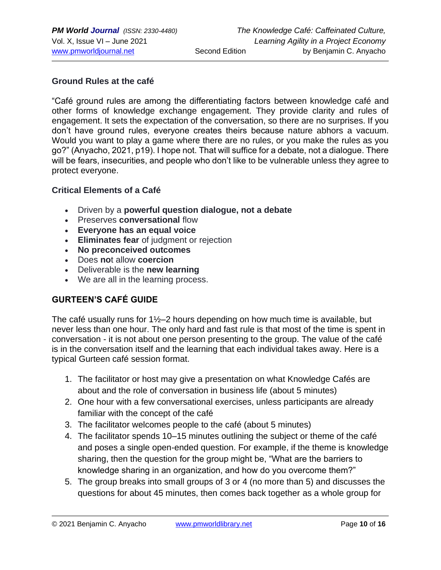#### **Ground Rules at the café**

"Café ground rules are among the differentiating factors between knowledge café and other forms of knowledge exchange engagement. They provide clarity and rules of engagement. It sets the expectation of the conversation, so there are no surprises. If you don't have ground rules, everyone creates theirs because nature abhors a vacuum. Would you want to play a game where there are no rules, or you make the rules as you go?" (Anyacho, 2021, p19). I hope not. That will suffice for a debate, not a dialogue. There will be fears, insecurities, and people who don't like to be vulnerable unless they agree to protect everyone.

#### **Critical Elements of a Café**

- Driven by a **powerful question dialogue, not a debate**
- Preserves **conversational** flow
- **Everyone has an equal voice**
- **Eliminates fear** of judgment or rejection
- **No preconceived outcomes**
- Does **no**t allow **coercion**
- Deliverable is the **new learning**
- We are all in the learning process.

## **GURTEEN'S CAFÉ GUIDE**

The café usually runs for 1½–2 hours depending on how much time is available, but never less than one hour. The only hard and fast rule is that most of the time is spent in conversation - it is not about one person presenting to the group. The value of the café is in the conversation itself and the learning that each individual takes away. Here is a typical Gurteen café session format.

- 1. The facilitator or host may give a presentation on what Knowledge Cafés are about and the role of conversation in business life (about 5 minutes)
- 2. One hour with a few conversational exercises, unless participants are already familiar with the concept of the café
- 3. The facilitator welcomes people to the café (about 5 minutes)
- 4. The facilitator spends 10–15 minutes outlining the subject or theme of the café and poses a single open-ended question. For example, if the theme is knowledge sharing, then the question for the group might be, "What are the barriers to knowledge sharing in an organization, and how do you overcome them?"
- 5. The group breaks into small groups of 3 or 4 (no more than 5) and discusses the questions for about 45 minutes, then comes back together as a whole group for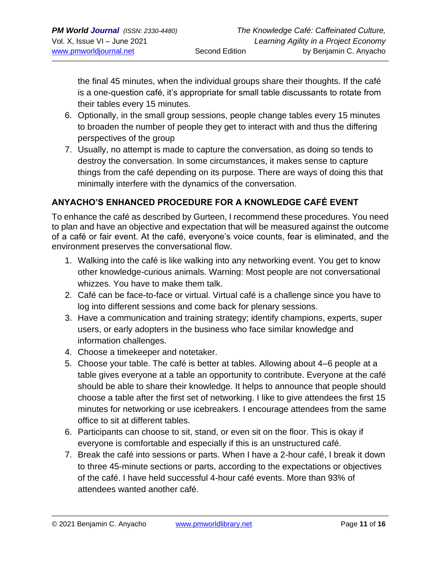the final 45 minutes, when the individual groups share their thoughts. If the café is a one-question café, it's appropriate for small table discussants to rotate from their tables every 15 minutes.

- 6. Optionally, in the small group sessions, people change tables every 15 minutes to broaden the number of people they get to interact with and thus the differing perspectives of the group
- 7. Usually, no attempt is made to capture the conversation, as doing so tends to destroy the conversation. In some circumstances, it makes sense to capture things from the café depending on its purpose. There are ways of doing this that minimally interfere with the dynamics of the conversation.

## **ANYACHO'S ENHANCED PROCEDURE FOR A KNOWLEDGE CAFÉ EVENT**

To enhance the café as described by Gurteen, I recommend these procedures. You need to plan and have an objective and expectation that will be measured against the outcome of a café or fair event. At the café, everyone's voice counts, fear is eliminated, and the environment preserves the conversational flow.

- 1. Walking into the café is like walking into any networking event. You get to know other knowledge-curious animals. Warning: Most people are not conversational whizzes. You have to make them talk.
- 2. Café can be face-to-face or virtual. Virtual café is a challenge since you have to log into different sessions and come back for plenary sessions.
- 3. Have a communication and training strategy; identify champions, experts, super users, or early adopters in the business who face similar knowledge and information challenges.
- 4. Choose a timekeeper and notetaker.
- 5. Choose your table. The café is better at tables. Allowing about 4–6 people at a table gives everyone at a table an opportunity to contribute. Everyone at the café should be able to share their knowledge. It helps to announce that people should choose a table after the first set of networking. I like to give attendees the first 15 minutes for networking or use icebreakers. I encourage attendees from the same office to sit at different tables.
- 6. Participants can choose to sit, stand, or even sit on the floor. This is okay if everyone is comfortable and especially if this is an unstructured café.
- 7. Break the café into sessions or parts. When I have a 2-hour café, I break it down to three 45-minute sections or parts, according to the expectations or objectives of the café. I have held successful 4-hour café events. More than 93% of attendees wanted another café.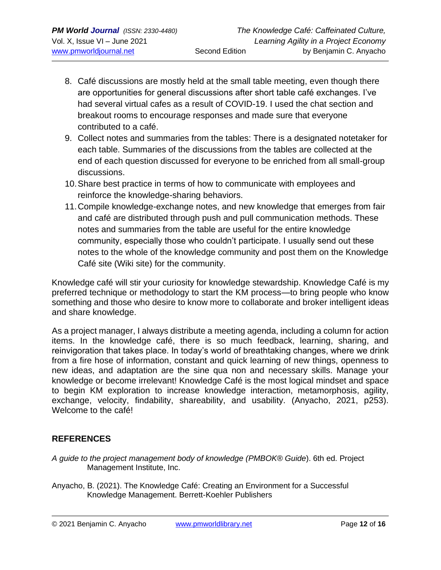- 8. Café discussions are mostly held at the small table meeting, even though there are opportunities for general discussions after short table café exchanges. I've had several virtual cafes as a result of COVID-19. I used the chat section and breakout rooms to encourage responses and made sure that everyone contributed to a café.
- 9. Collect notes and summaries from the tables: There is a designated notetaker for each table. Summaries of the discussions from the tables are collected at the end of each question discussed for everyone to be enriched from all small-group discussions.
- 10.Share best practice in terms of how to communicate with employees and reinforce the knowledge-sharing behaviors.
- 11.Compile knowledge-exchange notes, and new knowledge that emerges from fair and café are distributed through push and pull communication methods. These notes and summaries from the table are useful for the entire knowledge community, especially those who couldn't participate. I usually send out these notes to the whole of the knowledge community and post them on the Knowledge Café site (Wiki site) for the community.

Knowledge café will stir your curiosity for knowledge stewardship. Knowledge Café is my preferred technique or methodology to start the KM process—to bring people who know something and those who desire to know more to collaborate and broker intelligent ideas and share knowledge.

As a project manager, I always distribute a meeting agenda, including a column for action items. In the knowledge café, there is so much feedback, learning, sharing, and reinvigoration that takes place. In today's world of breathtaking changes, where we drink from a fire hose of information, constant and quick learning of new things, openness to new ideas, and adaptation are the sine qua non and necessary skills. Manage your knowledge or become irrelevant! Knowledge Café is the most logical mindset and space to begin KM exploration to increase knowledge interaction, metamorphosis, agility, exchange, velocity, findability, shareability, and usability. (Anyacho, 2021, p253). Welcome to the café!

## **REFERENCES**

- *A guide to the project management body of knowledge (PMBOK® Guide*). 6th ed. Project Management Institute, Inc.
- Anyacho, B. (2021). The Knowledge Café: Creating an Environment for a Successful Knowledge Management. Berrett-Koehler Publishers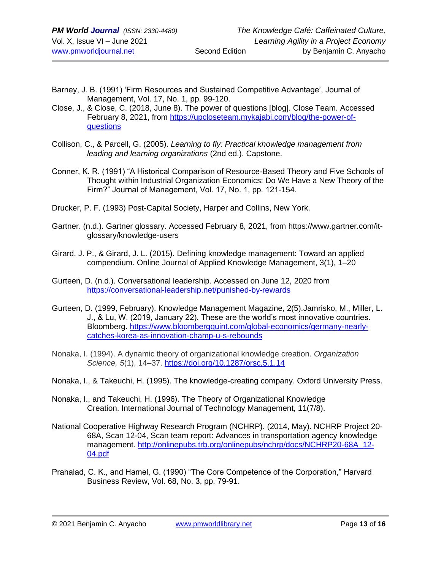- Barney, J. B. (1991) 'Firm Resources and Sustained Competitive Advantage', Journal of Management, Vol. 17, No. 1, pp. 99-120.
- Close, J., & Close, C. (2018, June 8). The power of questions [blog]. Close Team. Accessed February 8, 2021, from [https://upcloseteam.mykajabi.com/blog/the-power-of](https://upcloseteam.mykajabi.com/blog/the-power-of-questions)[questions](https://upcloseteam.mykajabi.com/blog/the-power-of-questions)
- Collison, C., & Parcell, G. (2005). *Learning to fly: Practical knowledge management from leading and learning organizations* (2nd ed.). Capstone.
- Conner, K. R. (1991) "A Historical Comparison of Resource-Based Theory and Five Schools of Thought within Industrial Organization Economics: Do We Have a New Theory of the Firm?" Journal of Management, Vol. 17, No. 1, pp. 121-154.
- Drucker, P. F. (1993) Post-Capital Society, Harper and Collins, New York.
- Gartner. (n.d.). Gartner glossary. Accessed February 8, 2021, from [https://www.gartner.com/it](https://www.gartner.com/it-glossary/knowledge-users)[glossary/knowledge-users](https://www.gartner.com/it-glossary/knowledge-users)
- Girard, J. P., & Girard, J. L. (2015). Defining knowledge management: Toward an applied compendium. Online Journal of Applied Knowledge Management, 3(1), 1–20
- Gurteen, D. (n.d.). Conversational leadership. Accessed on June 12, 2020 from <https://conversational-leadership.net/punished-by-rewards>
- Gurteen, D. (1999, February). Knowledge Management Magazine, 2(5).Jamrisko, M., Miller, L. J., & Lu, W. (2019, January 22). These are the world's most innovative countries. Bloomberg. [https://www.bloombergquint.com/global-economics/germany-nearly](https://www.bloombergquint.com/global-economics/germany-nearly-catches-korea-as-innovation-champ-u-s-rebounds)[catches-korea-as-innovation-champ-u-s-rebounds](https://www.bloombergquint.com/global-economics/germany-nearly-catches-korea-as-innovation-champ-u-s-rebounds)
- Nonaka, I. (1994). A dynamic theory of organizational knowledge creation. *Organization Science, 5*(1), 14–37. [https://doi.org/10.1287/orsc.5.1.14](https://psycnet.apa.org/doi/10.1287/orsc.5.1.14)
- Nonaka, I., & Takeuchi, H. (1995). The knowledge-creating company. Oxford University Press.
- Nonaka, I., and Takeuchi, H. (1996). The Theory of Organizational Knowledge Creation. International Journal of Technology Management, 11(7/8).
- National Cooperative Highway Research Program (NCHRP). (2014, May). NCHRP Project 20- 68A, Scan 12-04, Scan team report: Advances in transportation agency knowledge management. [http://onlinepubs.trb.org/onlinepubs/nchrp/docs/NCHRP20-68A\\_12-](http://onlinepubs.trb.org/onlinepubs/nchrp/docs/NCHRP20-68A_12-04.pdf) [04.pdf](http://onlinepubs.trb.org/onlinepubs/nchrp/docs/NCHRP20-68A_12-04.pdf)
- Prahalad, C. K., and Hamel, G. (1990) "The Core Competence of the Corporation," Harvard Business Review, Vol. 68, No. 3, pp. 79-91.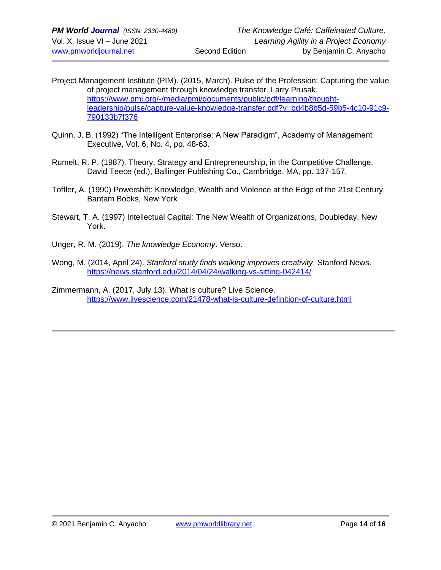- Project Management Institute (PIM). (2015, March). Pulse of the Profession: Capturing the value of project management through knowledge transfer. Larry Prusak. [https://www.pmi.org/-/media/pmi/documents/public/pdf/learning/thought](https://www.pmi.org/-/media/pmi/documents/public/pdf/learning/thought-leadership/pulse/capture-value-knowledge-transfer.pdf?v=bd4b8b5d-59b5-4c10-91c9-790133b7f376)[leadership/pulse/capture-value-knowledge-transfer.pdf?v=bd4b8b5d-59b5-4c10-91c9-](https://www.pmi.org/-/media/pmi/documents/public/pdf/learning/thought-leadership/pulse/capture-value-knowledge-transfer.pdf?v=bd4b8b5d-59b5-4c10-91c9-790133b7f376) [790133b7f376](https://www.pmi.org/-/media/pmi/documents/public/pdf/learning/thought-leadership/pulse/capture-value-knowledge-transfer.pdf?v=bd4b8b5d-59b5-4c10-91c9-790133b7f376)
- Quinn, J. B. (1992) "The Intelligent Enterprise: A New Paradigm", Academy of Management Executive, Vol. 6, No. 4, pp. 48-63.
- Rumelt, R. P. (1987). Theory, Strategy and Entrepreneurship, in the Competitive Challenge, David Teece (ed.), Ballinger Publishing Co., Cambridge, MA, pp. 137-157.
- Toffler, A. (1990) Powershift: Knowledge, Wealth and Violence at the Edge of the 21st Century, Bantam Books, New York
- Stewart, T. A. (1997) Intellectual Capital: The New Wealth of Organizations, Doubleday, New York.
- Unger, R. M. (2019). *The knowledge Economy*. Verso.
- Wong, M. (2014, April 24). *Stanford study finds walking improves creativity*. Stanford News. <https://news.stanford.edu/2014/04/24/walking-vs-sitting-042414/>
- Zimmermann, A. (2017, July 13). What is culture? Live Science[.](https://www.livescience.com/21478-what-is-culture-definition-of-culture.html) <https://www.livescience.com/21478-what-is-culture-definition-of-culture.html>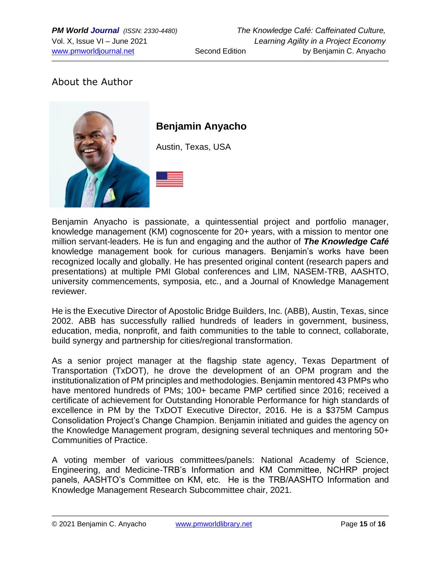## About the Author



# **Benjamin Anyacho**

Austin, Texas, USA

Benjamin Anyacho is passionate, a quintessential project and portfolio manager, knowledge management (KM) cognoscente for 20+ years, with a mission to mentor one million servant-leaders. He is fun and engaging and the author of *The Knowledge Café* knowledge management book for curious managers. Benjamin's works have been recognized locally and globally. He has presented original content (research papers and presentations) at multiple PMI Global conferences and LIM, NASEM-TRB, AASHTO, university commencements, symposia, etc., and a Journal of Knowledge Management reviewer.

He is the Executive Director of Apostolic Bridge Builders, Inc. (ABB), Austin, Texas, since 2002. ABB has successfully rallied hundreds of leaders in government, business, education, media, nonprofit, and faith communities to the table to connect, collaborate, build synergy and partnership for cities/regional transformation.

As a senior project manager at the flagship state agency, Texas Department of Transportation (TxDOT), he drove the development of an OPM program and the institutionalization of PM principles and methodologies. Benjamin mentored 43 PMPs who have mentored hundreds of PMs; 100+ became PMP certified since 2016; received a certificate of achievement for Outstanding Honorable Performance for high standards of excellence in PM by the TxDOT Executive Director, 2016. He is a \$375M Campus Consolidation Project's Change Champion. Benjamin initiated and guides the agency on the Knowledge Management program, designing several techniques and mentoring 50+ Communities of Practice.

A voting member of various committees/panels: National Academy of Science, Engineering, and Medicine-TRB's Information and KM Committee, NCHRP project panels, AASHTO's Committee on KM, etc. He is the TRB/AASHTO Information and Knowledge Management Research Subcommittee chair, 2021.